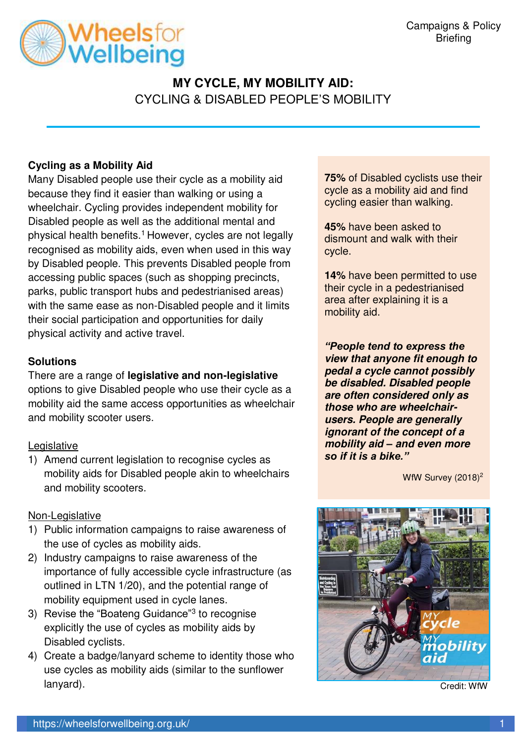

# **MY CYCLE, MY MOBILITY AID:**  CYCLING & DISABLED PEOPLE'S MOBILITY

## **Cycling as a Mobility Aid**

Many Disabled people use their cycle as a mobility aid because they find it easier than walking or using a wheelchair. Cycling provides independent mobility for Disabled people as well as the additional mental and physical health benefits.<sup>1</sup> However, cycles are not legally recognised as mobility aids, even when used in this way by Disabled people. This prevents Disabled people from accessing public spaces (such as shopping precincts, parks, public transport hubs and pedestrianised areas) with the same ease as non-Disabled people and it limits their social participation and opportunities for daily physical activity and active travel.

### **Solutions**

There are a range of **legislative and non-legislative** options to give Disabled people who use their cycle as a mobility aid the same access opportunities as wheelchair and mobility scooter users.

#### Legislative

1) Amend current legislation to recognise cycles as mobility aids for Disabled people akin to wheelchairs and mobility scooters.

### Non-Legislative

- 1) Public information campaigns to raise awareness of the use of cycles as mobility aids.
- 2) Industry campaigns to raise awareness of the importance of fully accessible cycle infrastructure (as outlined in LTN 1/20), and the potential range of mobility equipment used in cycle lanes.
- 3) Revise the "Boateng Guidance"<sup>3</sup> to recognise explicitly the use of cycles as mobility aids by Disabled cyclists.
- 4) Create a badge/lanyard scheme to identity those who use cycles as mobility aids (similar to the sunflower lanyard).

**75%** of Disabled cyclists use their cycle as a mobility aid and find cycling easier than walking.

**45%** have been asked to dismount and walk with their cycle.

**14%** have been permitted to use their cycle in a pedestrianised area after explaining it is a mobility aid.

*"People tend to express the*  **view that anyone fit enough to pedal a cycle cannot possibly be disabled. Disabled people are often considered only as those who are wheelchairusers. People are generally ignorant of the concept of a mobility aid** *–* **and even more**  *so if it is a bike."*

WfW Survey (2018)<sup>2</sup>



Credit: WfW